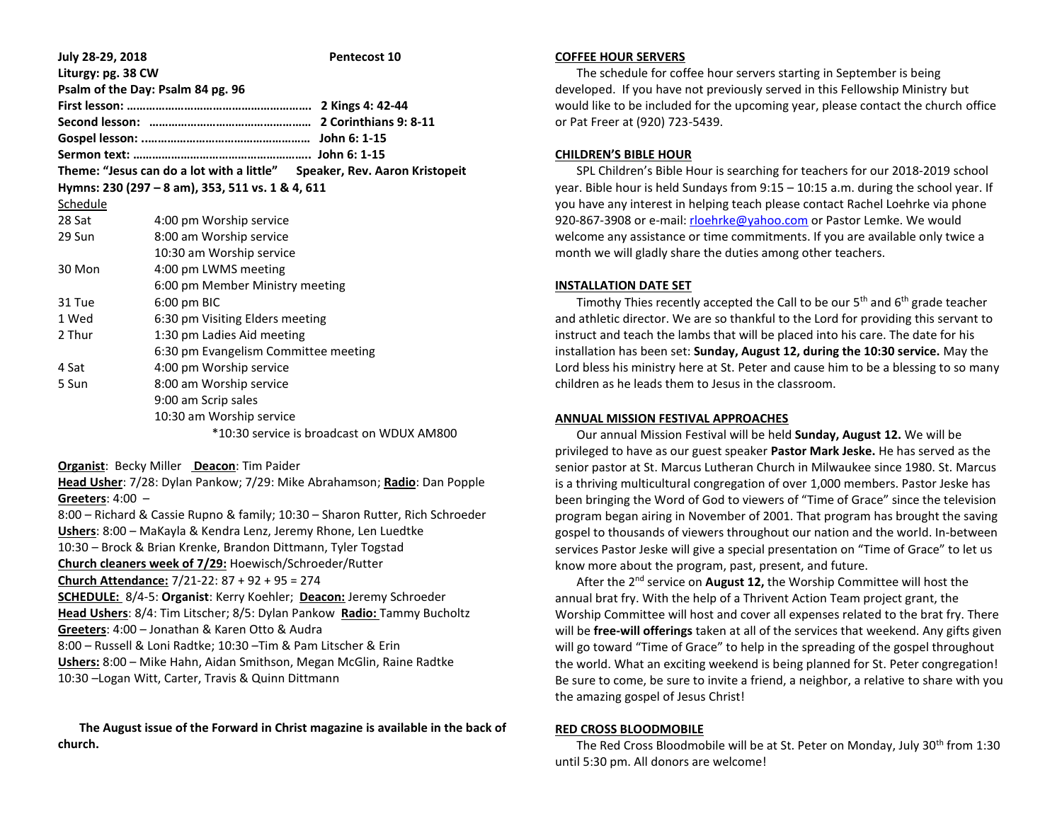| July 28-29, 2018   |                                                                          | <b>Pentecost 10</b>                       |
|--------------------|--------------------------------------------------------------------------|-------------------------------------------|
| Liturgy: pg. 38 CW |                                                                          |                                           |
|                    | Psalm of the Day: Psalm 84 pg. 96                                        |                                           |
|                    |                                                                          |                                           |
|                    |                                                                          |                                           |
|                    |                                                                          |                                           |
|                    |                                                                          |                                           |
|                    | Theme: "Jesus can do a lot with a little" Speaker, Rev. Aaron Kristopeit |                                           |
|                    | Hymns: 230 (297 – 8 am), 353, 511 vs. 1 & 4, 611                         |                                           |
| Schedule           |                                                                          |                                           |
| 28 Sat             | 4:00 pm Worship service                                                  |                                           |
| 29 Sun             | 8:00 am Worship service                                                  |                                           |
|                    | 10:30 am Worship service                                                 |                                           |
| 30 Mon             | 4:00 pm LWMS meeting                                                     |                                           |
|                    | 6:00 pm Member Ministry meeting                                          |                                           |
| 31 Tue             | $6:00$ pm BIC                                                            |                                           |
| 1 Wed              | 6:30 pm Visiting Elders meeting                                          |                                           |
| 2 Thur             | 1:30 pm Ladies Aid meeting                                               |                                           |
|                    | 6:30 pm Evangelism Committee meeting                                     |                                           |
| 4 Sat              | 4:00 pm Worship service                                                  |                                           |
| 5 Sun              | 8:00 am Worship service                                                  |                                           |
|                    | 9:00 am Scrip sales                                                      |                                           |
|                    | 10:30 am Worship service                                                 |                                           |
|                    |                                                                          | *10:30 service is broadcast on WDUX AM800 |
|                    |                                                                          |                                           |

**Organist**: Becky Miller **Deacon**: Tim Paider

**Head Usher**: 7/28: Dylan Pankow; 7/29: Mike Abrahamson; **Radio**: Dan Popple **Greeters**: 4:00 –

8:00 – Richard & Cassie Rupno & family; 10:30 – Sharon Rutter, Rich Schroeder **Ushers**: 8:00 – MaKayla & Kendra Lenz, Jeremy Rhone, Len Luedtke 10:30 – Brock & Brian Krenke, Brandon Dittmann, Tyler Togstad **Church cleaners week of 7/29:** Hoewisch/Schroeder/Rutter **Church Attendance:** 7/21-22: 87 + 92 + 95 = 274 **SCHEDULE:** 8/4-5: **Organist**: Kerry Koehler; **Deacon:** Jeremy Schroeder **Head Ushers**: 8/4: Tim Litscher; 8/5: Dylan Pankow **Radio:** Tammy Bucholtz **Greeters**: 4:00 – Jonathan & Karen Otto & Audra 8:00 – Russell & Loni Radtke; 10:30 –Tim & Pam Litscher & Erin **Ushers:** 8:00 – Mike Hahn, Aidan Smithson, Megan McGlin, Raine Radtke 10:30 –Logan Witt, Carter, Travis & Quinn Dittmann

 **The August issue of the Forward in Christ magazine is available in the back of church.**

#### **COFFEE HOUR SERVERS**

 The schedule for coffee hour servers starting in September is being developed. If you have not previously served in this Fellowship Ministry but would like to be included for the upcoming year, please contact the church office or Pat Freer at (920) 723-5439.

# **CHILDREN'S BIBLE HOUR**

 SPL Children's Bible Hour is searching for teachers for our 2018-2019 school year. Bible hour is held Sundays from 9:15 – 10:15 a.m. during the school year. If you have any interest in helping teach please contact Rachel Loehrke via phone 920-867-3908 or e-mail[: rloehrke@yahoo.com](mailto:rloehrke@yahoo.com) or Pastor Lemke. We would welcome any assistance or time commitments. If you are available only twice a month we will gladly share the duties among other teachers.

# **INSTALLATION DATE SET**

Timothy Thies recently accepted the Call to be our  $5<sup>th</sup>$  and  $6<sup>th</sup>$  grade teacher and athletic director. We are so thankful to the Lord for providing this servant to instruct and teach the lambs that will be placed into his care. The date for his installation has been set: **Sunday, August 12, during the 10:30 service.** May the Lord bless his ministry here at St. Peter and cause him to be a blessing to so many children as he leads them to Jesus in the classroom.

## **ANNUAL MISSION FESTIVAL APPROACHES**

 Our annual Mission Festival will be held **Sunday, August 12.** We will be privileged to have as our guest speaker **Pastor Mark Jeske.** He has served as the senior pastor at St. Marcus Lutheran Church in Milwaukee since 1980. St. Marcus is a thriving multicultural congregation of over 1,000 members. Pastor Jeske has been bringing the Word of God to viewers of "Time of Grace" since the television program began airing in November of 2001. That program has brought the saving gospel to thousands of viewers throughout our nation and the world. In-between services Pastor Jeske will give a special presentation on "Time of Grace" to let us know more about the program, past, present, and future.

 After the 2nd service on **August 12,** the Worship Committee will host the annual brat fry. With the help of a Thrivent Action Team project grant, the Worship Committee will host and cover all expenses related to the brat fry. There will be **free-will offerings** taken at all of the services that weekend. Any gifts given will go toward "Time of Grace" to help in the spreading of the gospel throughout the world. What an exciting weekend is being planned for St. Peter congregation! Be sure to come, be sure to invite a friend, a neighbor, a relative to share with you the amazing gospel of Jesus Christ!

## **RED CROSS BLOODMOBILE**

The Red Cross Bloodmobile will be at St. Peter on Monday, July 30<sup>th</sup> from 1:30 until 5:30 pm. All donors are welcome!